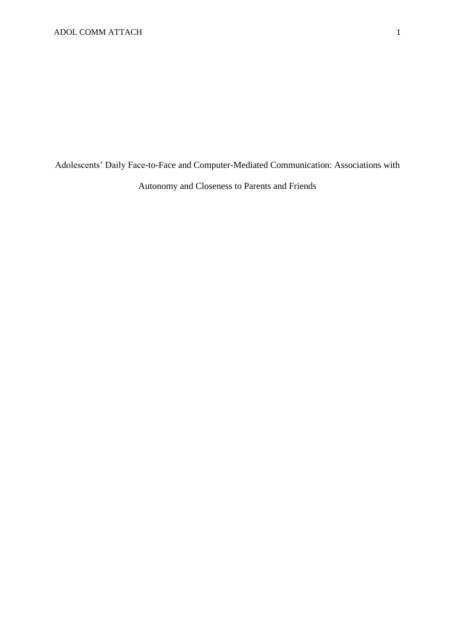Adolescents' Daily Face-to-Face and Computer-Mediated Communication: Associations with Autonomy and Closeness to Parents and Friends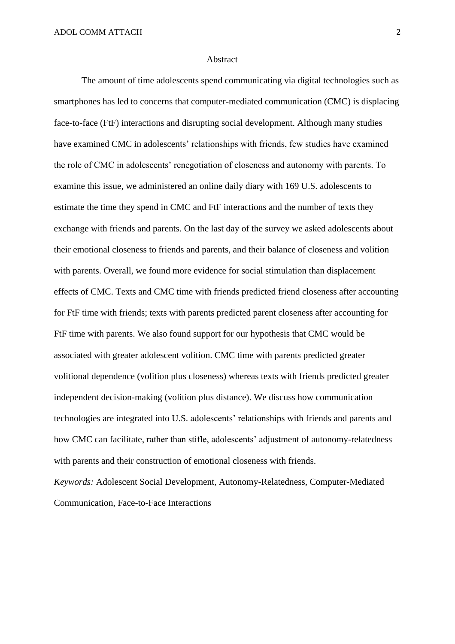#### Abstract

The amount of time adolescents spend communicating via digital technologies such as smartphones has led to concerns that computer-mediated communication (CMC) is displacing face-to-face (FtF) interactions and disrupting social development. Although many studies have examined CMC in adolescents' relationships with friends, few studies have examined the role of CMC in adolescents' renegotiation of closeness and autonomy with parents. To examine this issue, we administered an online daily diary with 169 U.S. adolescents to estimate the time they spend in CMC and FtF interactions and the number of texts they exchange with friends and parents. On the last day of the survey we asked adolescents about their emotional closeness to friends and parents, and their balance of closeness and volition with parents. Overall, we found more evidence for social stimulation than displacement effects of CMC. Texts and CMC time with friends predicted friend closeness after accounting for FtF time with friends; texts with parents predicted parent closeness after accounting for FtF time with parents. We also found support for our hypothesis that CMC would be associated with greater adolescent volition. CMC time with parents predicted greater volitional dependence (volition plus closeness) whereas texts with friends predicted greater independent decision-making (volition plus distance). We discuss how communication technologies are integrated into U.S. adolescents' relationships with friends and parents and how CMC can facilitate, rather than stifle, adolescents' adjustment of autonomy-relatedness with parents and their construction of emotional closeness with friends.

*Keywords:* Adolescent Social Development, Autonomy-Relatedness, Computer-Mediated Communication, Face-to-Face Interactions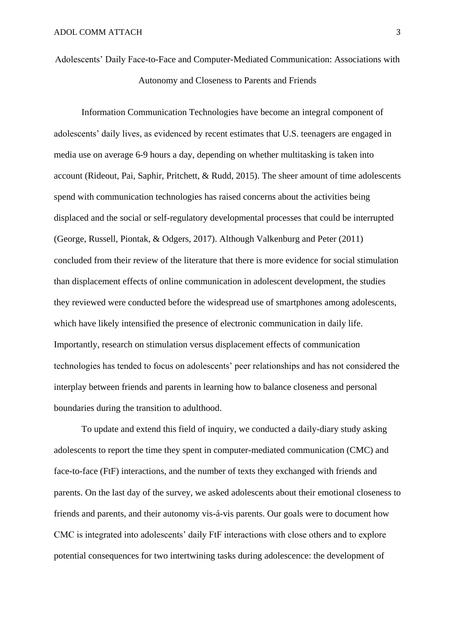Adolescents' Daily Face-to-Face and Computer-Mediated Communication: Associations with Autonomy and Closeness to Parents and Friends

Information Communication Technologies have become an integral component of adolescents' daily lives, as evidenced by recent estimates that U.S. teenagers are engaged in media use on average 6-9 hours a day, depending on whether multitasking is taken into account (Rideout, Pai, Saphir, Pritchett, & Rudd, 2015). The sheer amount of time adolescents spend with communication technologies has raised concerns about the activities being displaced and the social or self-regulatory developmental processes that could be interrupted (George, Russell, Piontak, & Odgers, 2017). Although Valkenburg and Peter (2011) concluded from their review of the literature that there is more evidence for social stimulation than displacement effects of online communication in adolescent development, the studies they reviewed were conducted before the widespread use of smartphones among adolescents, which have likely intensified the presence of electronic communication in daily life. Importantly, research on stimulation versus displacement effects of communication technologies has tended to focus on adolescents' peer relationships and has not considered the interplay between friends and parents in learning how to balance closeness and personal boundaries during the transition to adulthood.

To update and extend this field of inquiry, we conducted a daily-diary study asking adolescents to report the time they spent in computer-mediated communication (CMC) and face-to-face (FtF) interactions, and the number of texts they exchanged with friends and parents. On the last day of the survey, we asked adolescents about their emotional closeness to friends and parents, and their autonomy vis-á-vis parents. Our goals were to document how CMC is integrated into adolescents' daily FtF interactions with close others and to explore potential consequences for two intertwining tasks during adolescence: the development of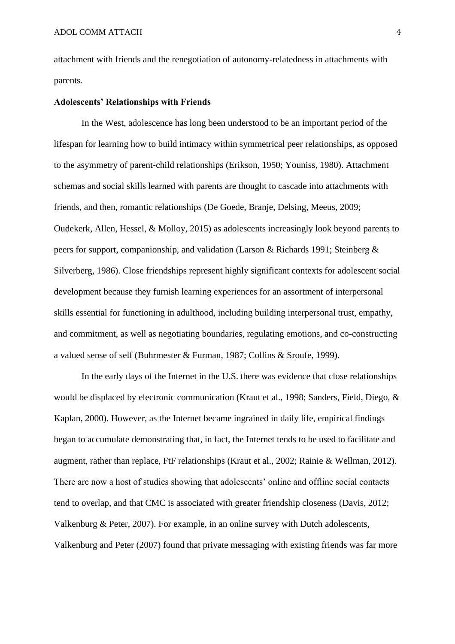attachment with friends and the renegotiation of autonomy-relatedness in attachments with parents.

#### **Adolescents' Relationships with Friends**

In the West, adolescence has long been understood to be an important period of the lifespan for learning how to build intimacy within symmetrical peer relationships, as opposed to the asymmetry of parent-child relationships (Erikson, 1950; Youniss, 1980). Attachment schemas and social skills learned with parents are thought to cascade into attachments with friends, and then, romantic relationships (De Goede, Branje, Delsing, Meeus, 2009; Oudekerk, Allen, Hessel, & Molloy, 2015) as adolescents increasingly look beyond parents to peers for support, companionship, and validation (Larson & Richards 1991; Steinberg & Silverberg, 1986). Close friendships represent highly significant contexts for adolescent social development because they furnish learning experiences for an assortment of interpersonal skills essential for functioning in adulthood, including building interpersonal trust, empathy, and commitment, as well as negotiating boundaries, regulating emotions, and co-constructing a valued sense of self (Buhrmester & Furman, 1987; Collins & Sroufe, 1999).

In the early days of the Internet in the U.S. there was evidence that close relationships would be displaced by electronic communication (Kraut et al., 1998; Sanders, Field, Diego, & Kaplan, 2000). However, as the Internet became ingrained in daily life, empirical findings began to accumulate demonstrating that, in fact, the Internet tends to be used to facilitate and augment, rather than replace, FtF relationships (Kraut et al., 2002; Rainie & Wellman, 2012). There are now a host of studies showing that adolescents' online and offline social contacts tend to overlap, and that CMC is associated with greater friendship closeness (Davis, 2012; Valkenburg & Peter, 2007). For example, in an online survey with Dutch adolescents, Valkenburg and Peter (2007) found that private messaging with existing friends was far more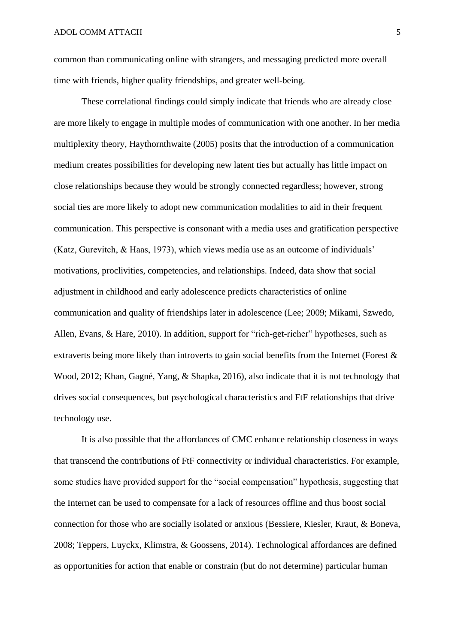common than communicating online with strangers, and messaging predicted more overall time with friends, higher quality friendships, and greater well-being.

These correlational findings could simply indicate that friends who are already close are more likely to engage in multiple modes of communication with one another. In her media multiplexity theory, Haythornthwaite (2005) posits that the introduction of a communication medium creates possibilities for developing new latent ties but actually has little impact on close relationships because they would be strongly connected regardless; however, strong social ties are more likely to adopt new communication modalities to aid in their frequent communication. This perspective is consonant with a media uses and gratification perspective (Katz, Gurevitch, & Haas, 1973), which views media use as an outcome of individuals' motivations, proclivities, competencies, and relationships. Indeed, data show that social adjustment in childhood and early adolescence predicts characteristics of online communication and quality of friendships later in adolescence (Lee; 2009; Mikami, Szwedo, Allen, Evans, & Hare, 2010). In addition, support for "rich-get-richer" hypotheses, such as extraverts being more likely than introverts to gain social benefits from the Internet (Forest & Wood, 2012; Khan, Gagné, Yang, & Shapka, 2016), also indicate that it is not technology that drives social consequences, but psychological characteristics and FtF relationships that drive technology use.

It is also possible that the affordances of CMC enhance relationship closeness in ways that transcend the contributions of FtF connectivity or individual characteristics. For example, some studies have provided support for the "social compensation" hypothesis, suggesting that the Internet can be used to compensate for a lack of resources offline and thus boost social connection for those who are socially isolated or anxious (Bessiere, Kiesler, Kraut, & Boneva, 2008; Teppers, Luyckx, Klimstra, & Goossens, 2014). Technological affordances are defined as opportunities for action that enable or constrain (but do not determine) particular human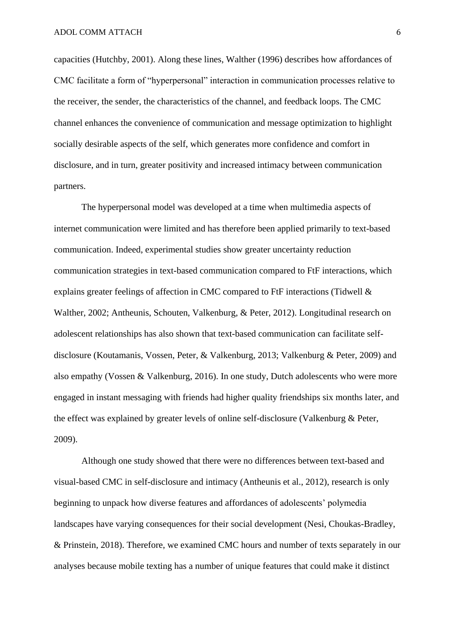capacities (Hutchby, 2001). Along these lines, Walther (1996) describes how affordances of CMC facilitate a form of "hyperpersonal" interaction in communication processes relative to the receiver, the sender, the characteristics of the channel, and feedback loops. The CMC channel enhances the convenience of communication and message optimization to highlight socially desirable aspects of the self, which generates more confidence and comfort in disclosure, and in turn, greater positivity and increased intimacy between communication partners.

The hyperpersonal model was developed at a time when multimedia aspects of internet communication were limited and has therefore been applied primarily to text-based communication. Indeed, experimental studies show greater uncertainty reduction communication strategies in text-based communication compared to FtF interactions, which explains greater feelings of affection in CMC compared to FtF interactions (Tidwell & Walther, 2002; Antheunis, Schouten, Valkenburg, & Peter, 2012). Longitudinal research on adolescent relationships has also shown that text-based communication can facilitate selfdisclosure (Koutamanis, Vossen, Peter, & Valkenburg, 2013; Valkenburg & Peter, 2009) and also empathy (Vossen & Valkenburg, 2016). In one study, Dutch adolescents who were more engaged in instant messaging with friends had higher quality friendships six months later, and the effect was explained by greater levels of online self-disclosure (Valkenburg & Peter, 2009).

Although one study showed that there were no differences between text-based and visual-based CMC in self-disclosure and intimacy (Antheunis et al., 2012), research is only beginning to unpack how diverse features and affordances of adolescents' polymedia landscapes have varying consequences for their social development (Nesi, Choukas-Bradley, & Prinstein, 2018). Therefore, we examined CMC hours and number of texts separately in our analyses because mobile texting has a number of unique features that could make it distinct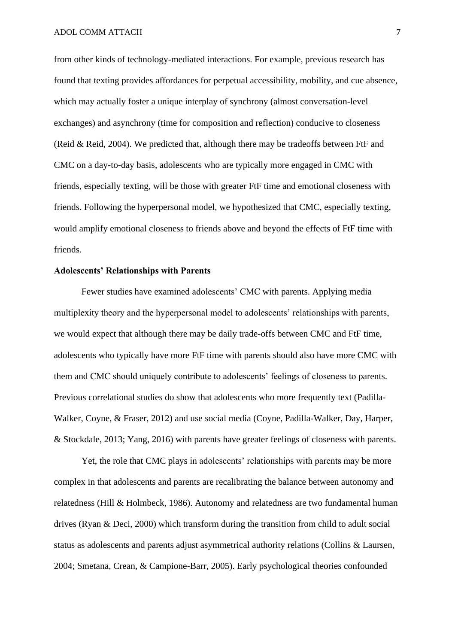from other kinds of technology-mediated interactions. For example, previous research has found that texting provides affordances for perpetual accessibility, mobility, and cue absence, which may actually foster a unique interplay of synchrony (almost conversation-level exchanges) and asynchrony (time for composition and reflection) conducive to closeness (Reid & Reid, 2004). We predicted that, although there may be tradeoffs between FtF and CMC on a day-to-day basis, adolescents who are typically more engaged in CMC with friends, especially texting, will be those with greater FtF time and emotional closeness with friends. Following the hyperpersonal model, we hypothesized that CMC, especially texting, would amplify emotional closeness to friends above and beyond the effects of FtF time with friends.

#### **Adolescents' Relationships with Parents**

Fewer studies have examined adolescents' CMC with parents. Applying media multiplexity theory and the hyperpersonal model to adolescents' relationships with parents, we would expect that although there may be daily trade-offs between CMC and FtF time, adolescents who typically have more FtF time with parents should also have more CMC with them and CMC should uniquely contribute to adolescents' feelings of closeness to parents. Previous correlational studies do show that adolescents who more frequently text (Padilla-Walker, Coyne, & Fraser, 2012) and use social media (Coyne, Padilla-Walker, Day, Harper, & Stockdale, 2013; Yang, 2016) with parents have greater feelings of closeness with parents.

Yet, the role that CMC plays in adolescents' relationships with parents may be more complex in that adolescents and parents are recalibrating the balance between autonomy and relatedness (Hill & Holmbeck, 1986). Autonomy and relatedness are two fundamental human drives (Ryan & Deci, 2000) which transform during the transition from child to adult social status as adolescents and parents adjust asymmetrical authority relations (Collins & Laursen, 2004; Smetana, Crean, & Campione-Barr, 2005). Early psychological theories confounded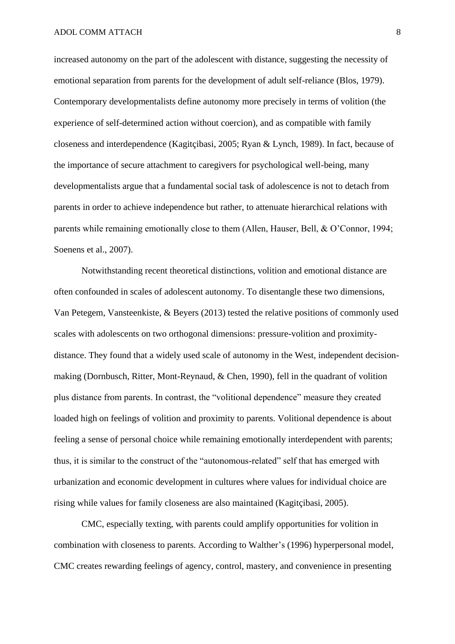increased autonomy on the part of the adolescent with distance, suggesting the necessity of emotional separation from parents for the development of adult self-reliance (Blos, 1979). Contemporary developmentalists define autonomy more precisely in terms of volition (the experience of self-determined action without coercion), and as compatible with family closeness and interdependence (Kagitçibasi, 2005; Ryan & Lynch, 1989). In fact, because of the importance of secure attachment to caregivers for psychological well-being, many developmentalists argue that a fundamental social task of adolescence is not to detach from parents in order to achieve independence but rather, to attenuate hierarchical relations with parents while remaining emotionally close to them (Allen, Hauser, Bell, & O'Connor, 1994; Soenens et al., 2007).

Notwithstanding recent theoretical distinctions, volition and emotional distance are often confounded in scales of adolescent autonomy. To disentangle these two dimensions, Van Petegem, Vansteenkiste, & Beyers (2013) tested the relative positions of commonly used scales with adolescents on two orthogonal dimensions: pressure-volition and proximitydistance. They found that a widely used scale of autonomy in the West, independent decisionmaking (Dornbusch, Ritter, Mont-Reynaud, & Chen, 1990), fell in the quadrant of volition plus distance from parents. In contrast, the "volitional dependence" measure they created loaded high on feelings of volition and proximity to parents. Volitional dependence is about feeling a sense of personal choice while remaining emotionally interdependent with parents; thus, it is similar to the construct of the "autonomous-related" self that has emerged with urbanization and economic development in cultures where values for individual choice are rising while values for family closeness are also maintained (Kagitçibasi, 2005).

CMC, especially texting, with parents could amplify opportunities for volition in combination with closeness to parents. According to Walther's (1996) hyperpersonal model, CMC creates rewarding feelings of agency, control, mastery, and convenience in presenting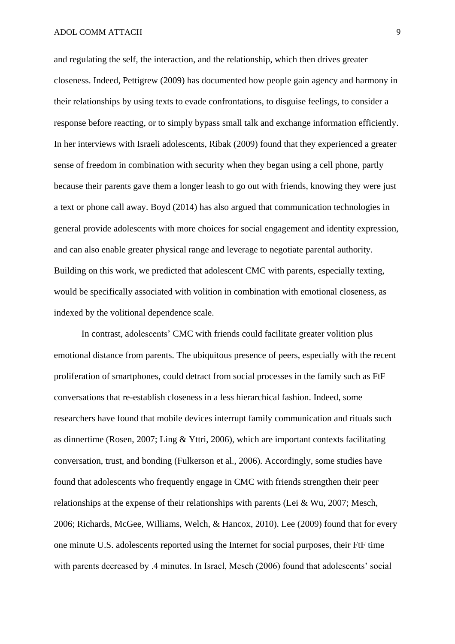and regulating the self, the interaction, and the relationship, which then drives greater closeness. Indeed, Pettigrew (2009) has documented how people gain agency and harmony in their relationships by using texts to evade confrontations, to disguise feelings, to consider a response before reacting, or to simply bypass small talk and exchange information efficiently. In her interviews with Israeli adolescents, Ribak (2009) found that they experienced a greater sense of freedom in combination with security when they began using a cell phone, partly because their parents gave them a longer leash to go out with friends, knowing they were just a text or phone call away. Boyd (2014) has also argued that communication technologies in general provide adolescents with more choices for social engagement and identity expression, and can also enable greater physical range and leverage to negotiate parental authority. Building on this work, we predicted that adolescent CMC with parents, especially texting, would be specifically associated with volition in combination with emotional closeness, as indexed by the volitional dependence scale.

In contrast, adolescents' CMC with friends could facilitate greater volition plus emotional distance from parents. The ubiquitous presence of peers, especially with the recent proliferation of smartphones, could detract from social processes in the family such as FtF conversations that re-establish closeness in a less hierarchical fashion. Indeed, some researchers have found that mobile devices interrupt family communication and rituals such as dinnertime (Rosen, 2007; Ling & Yttri, 2006), which are important contexts facilitating conversation, trust, and bonding (Fulkerson et al., 2006). Accordingly, some studies have found that adolescents who frequently engage in CMC with friends strengthen their peer relationships at the expense of their relationships with parents (Lei & Wu, 2007; Mesch, 2006; Richards, McGee, Williams, Welch, & Hancox, 2010). Lee (2009) found that for every one minute U.S. adolescents reported using the Internet for social purposes, their FtF time with parents decreased by .4 minutes. In Israel, Mesch (2006) found that adolescents' social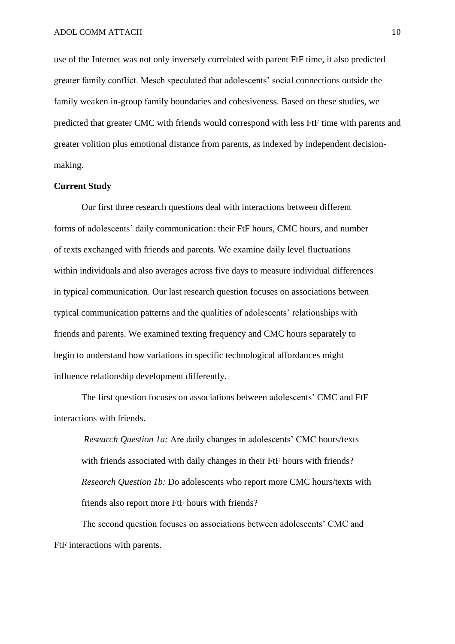use of the Internet was not only inversely correlated with parent FtF time, it also predicted greater family conflict. Mesch speculated that adolescents' social connections outside the family weaken in-group family boundaries and cohesiveness. Based on these studies, we predicted that greater CMC with friends would correspond with less FtF time with parents and greater volition plus emotional distance from parents, as indexed by independent decisionmaking.

### **Current Study**

Our first three research questions deal with interactions between different forms of adolescents' daily communication: their FtF hours, CMC hours, and number of texts exchanged with friends and parents. We examine daily level fluctuations within individuals and also averages across five days to measure individual differences in typical communication. Our last research question focuses on associations between typical communication patterns and the qualities of adolescents' relationships with friends and parents. We examined texting frequency and CMC hours separately to begin to understand how variations in specific technological affordances might influence relationship development differently.

The first question focuses on associations between adolescents' CMC and FtF interactions with friends.

*Research Question 1a:* Are daily changes in adolescents' CMC hours/texts with friends associated with daily changes in their FtF hours with friends? *Research Question 1b:* Do adolescents who report more CMC hours/texts with friends also report more FtF hours with friends?

The second question focuses on associations between adolescents' CMC and FtF interactions with parents.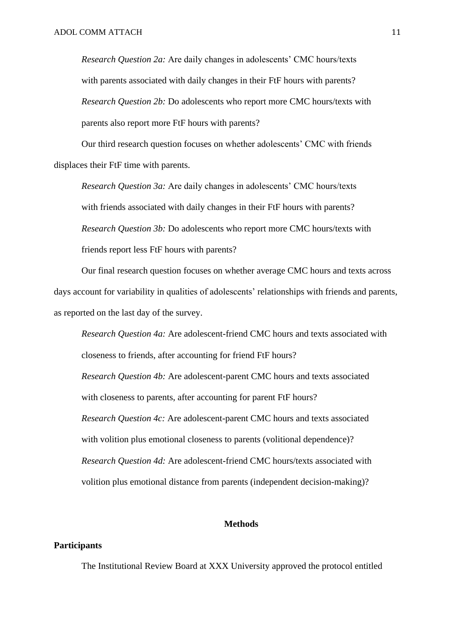*Research Question 2a:* Are daily changes in adolescents' CMC hours/texts with parents associated with daily changes in their FtF hours with parents? *Research Question 2b:* Do adolescents who report more CMC hours/texts with parents also report more FtF hours with parents?

Our third research question focuses on whether adolescents' CMC with friends displaces their FtF time with parents.

*Research Question 3a:* Are daily changes in adolescents' CMC hours/texts with friends associated with daily changes in their FtF hours with parents? *Research Question 3b:* Do adolescents who report more CMC hours/texts with friends report less FtF hours with parents?

Our final research question focuses on whether average CMC hours and texts across days account for variability in qualities of adolescents' relationships with friends and parents, as reported on the last day of the survey.

*Research Question 4a:* Are adolescent-friend CMC hours and texts associated with closeness to friends, after accounting for friend FtF hours? *Research Question 4b:* Are adolescent-parent CMC hours and texts associated with closeness to parents, after accounting for parent FtF hours? *Research Question 4c:* Are adolescent-parent CMC hours and texts associated with volition plus emotional closeness to parents (volitional dependence)? *Research Question 4d:* Are adolescent-friend CMC hours/texts associated with volition plus emotional distance from parents (independent decision-making)?

### **Methods**

## **Participants**

The Institutional Review Board at XXX University approved the protocol entitled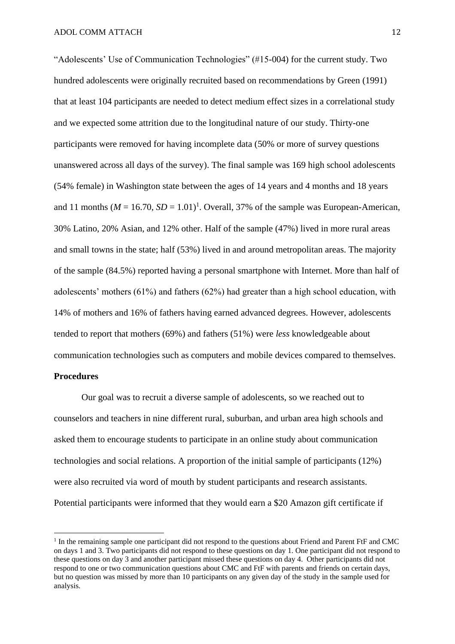"Adolescents' Use of Communication Technologies" (#15-004) for the current study. Two hundred adolescents were originally recruited based on recommendations by Green (1991) that at least 104 participants are needed to detect medium effect sizes in a correlational study and we expected some attrition due to the longitudinal nature of our study. Thirty-one participants were removed for having incomplete data (50% or more of survey questions unanswered across all days of the survey). The final sample was 169 high school adolescents (54% female) in Washington state between the ages of 14 years and 4 months and 18 years and 11 months ( $M = 16.70$ ,  $SD = 1.01$ <sup>1</sup>. Overall, 37% of the sample was European-American, 30% Latino, 20% Asian, and 12% other. Half of the sample (47%) lived in more rural areas and small towns in the state; half (53%) lived in and around metropolitan areas. The majority of the sample (84.5%) reported having a personal smartphone with Internet. More than half of adolescents' mothers (61%) and fathers (62%) had greater than a high school education, with 14% of mothers and 16% of fathers having earned advanced degrees. However, adolescents tended to report that mothers (69%) and fathers (51%) were *less* knowledgeable about communication technologies such as computers and mobile devices compared to themselves.

## **Procedures**

 $\overline{a}$ 

Our goal was to recruit a diverse sample of adolescents, so we reached out to counselors and teachers in nine different rural, suburban, and urban area high schools and asked them to encourage students to participate in an online study about communication technologies and social relations. A proportion of the initial sample of participants (12%) were also recruited via word of mouth by student participants and research assistants. Potential participants were informed that they would earn a \$20 Amazon gift certificate if

<sup>&</sup>lt;sup>1</sup> In the remaining sample one participant did not respond to the questions about Friend and Parent FtF and CMC on days 1 and 3. Two participants did not respond to these questions on day 1. One participant did not respond to these questions on day 3 and another participant missed these questions on day 4. Other participants did not respond to one or two communication questions about CMC and FtF with parents and friends on certain days, but no question was missed by more than 10 participants on any given day of the study in the sample used for analysis.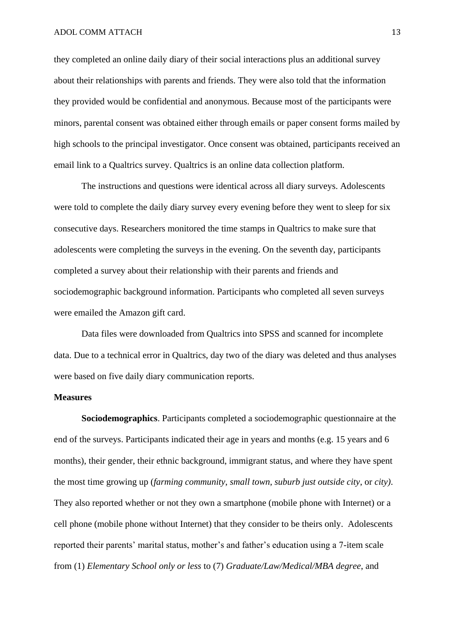they completed an online daily diary of their social interactions plus an additional survey about their relationships with parents and friends. They were also told that the information they provided would be confidential and anonymous. Because most of the participants were minors, parental consent was obtained either through emails or paper consent forms mailed by high schools to the principal investigator. Once consent was obtained, participants received an email link to a Qualtrics survey. Qualtrics is an online data collection platform.

The instructions and questions were identical across all diary surveys. Adolescents were told to complete the daily diary survey every evening before they went to sleep for six consecutive days. Researchers monitored the time stamps in Qualtrics to make sure that adolescents were completing the surveys in the evening. On the seventh day, participants completed a survey about their relationship with their parents and friends and sociodemographic background information. Participants who completed all seven surveys were emailed the Amazon gift card.

Data files were downloaded from Qualtrics into SPSS and scanned for incomplete data. Due to a technical error in Qualtrics, day two of the diary was deleted and thus analyses were based on five daily diary communication reports.

## **Measures**

**Sociodemographics**. Participants completed a sociodemographic questionnaire at the end of the surveys. Participants indicated their age in years and months (e.g. 15 years and 6 months), their gender, their ethnic background, immigrant status, and where they have spent the most time growing up (*farming community*, *small town*, *suburb just outside city*, or *city)*. They also reported whether or not they own a smartphone (mobile phone with Internet) or a cell phone (mobile phone without Internet) that they consider to be theirs only. Adolescents reported their parents' marital status, mother's and father's education using a 7-item scale from (1) *Elementary School only or less* to (7) *Graduate/Law/Medical/MBA degree*, and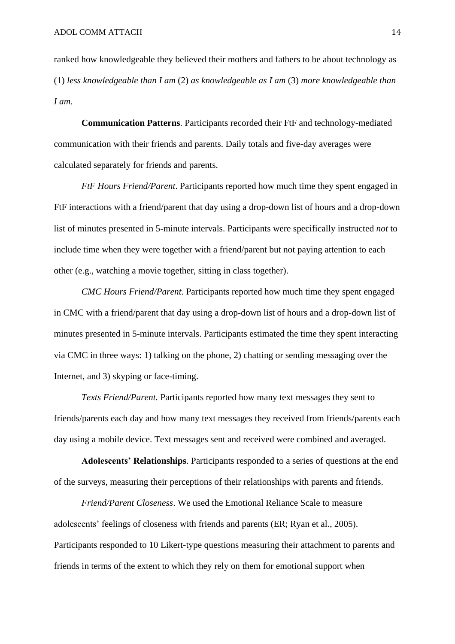ranked how knowledgeable they believed their mothers and fathers to be about technology as (1) *less knowledgeable than I am* (2) *as knowledgeable as I am* (3) *more knowledgeable than I am*.

**Communication Patterns**. Participants recorded their FtF and technology-mediated communication with their friends and parents. Daily totals and five-day averages were calculated separately for friends and parents.

*FtF Hours Friend/Parent*. Participants reported how much time they spent engaged in FtF interactions with a friend/parent that day using a drop-down list of hours and a drop-down list of minutes presented in 5-minute intervals. Participants were specifically instructed *not* to include time when they were together with a friend/parent but not paying attention to each other (e.g., watching a movie together, sitting in class together).

*CMC Hours Friend/Parent.* Participants reported how much time they spent engaged in CMC with a friend/parent that day using a drop-down list of hours and a drop-down list of minutes presented in 5-minute intervals. Participants estimated the time they spent interacting via CMC in three ways: 1) talking on the phone, 2) chatting or sending messaging over the Internet, and 3) skyping or face-timing.

*Texts Friend/Parent.* Participants reported how many text messages they sent to friends/parents each day and how many text messages they received from friends/parents each day using a mobile device. Text messages sent and received were combined and averaged.

**Adolescents' Relationships**. Participants responded to a series of questions at the end of the surveys, measuring their perceptions of their relationships with parents and friends.

*Friend/Parent Closeness*. We used the Emotional Reliance Scale to measure adolescents' feelings of closeness with friends and parents (ER; Ryan et al., 2005). Participants responded to 10 Likert-type questions measuring their attachment to parents and friends in terms of the extent to which they rely on them for emotional support when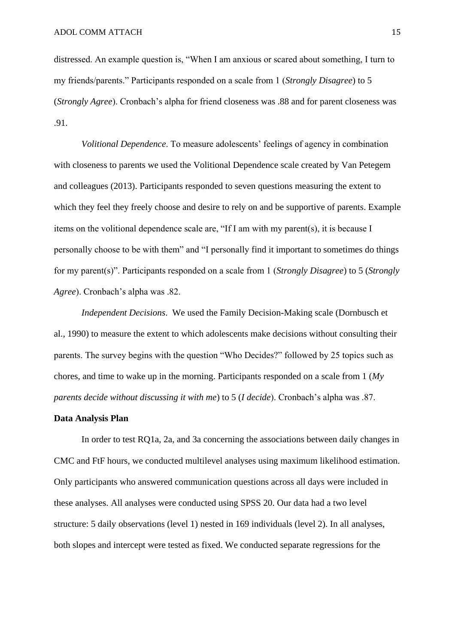distressed. An example question is, "When I am anxious or scared about something, I turn to my friends/parents." Participants responded on a scale from 1 (*Strongly Disagree*) to 5 (*Strongly Agree*). Cronbach's alpha for friend closeness was .88 and for parent closeness was .91.

*Volitional Dependence*. To measure adolescents' feelings of agency in combination with closeness to parents we used the Volitional Dependence scale created by Van Petegem and colleagues (2013). Participants responded to seven questions measuring the extent to which they feel they freely choose and desire to rely on and be supportive of parents. Example items on the volitional dependence scale are, "If I am with my parent(s), it is because I personally choose to be with them" and "I personally find it important to sometimes do things for my parent(s)". Participants responded on a scale from 1 (*Strongly Disagree*) to 5 (*Strongly Agree*). Cronbach's alpha was .82.

*Independent Decisions*. We used the Family Decision-Making scale (Dornbusch et al., 1990) to measure the extent to which adolescents make decisions without consulting their parents. The survey begins with the question "Who Decides?" followed by 25 topics such as chores, and time to wake up in the morning. Participants responded on a scale from 1 (*My parents decide without discussing it with me*) to 5 (*I decide*). Cronbach's alpha was .87.

## **Data Analysis Plan**

In order to test RQ1a, 2a, and 3a concerning the associations between daily changes in CMC and FtF hours, we conducted multilevel analyses using maximum likelihood estimation. Only participants who answered communication questions across all days were included in these analyses. All analyses were conducted using SPSS 20. Our data had a two level structure: 5 daily observations (level 1) nested in 169 individuals (level 2). In all analyses, both slopes and intercept were tested as fixed. We conducted separate regressions for the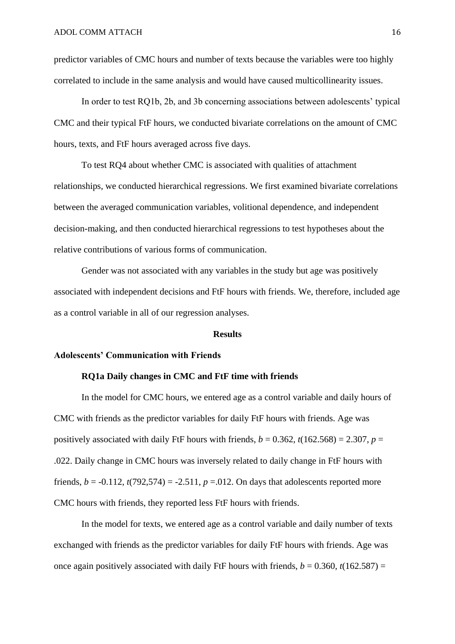predictor variables of CMC hours and number of texts because the variables were too highly correlated to include in the same analysis and would have caused multicollinearity issues.

In order to test RQ1b, 2b, and 3b concerning associations between adolescents' typical CMC and their typical FtF hours, we conducted bivariate correlations on the amount of CMC hours, texts, and FtF hours averaged across five days.

To test RQ4 about whether CMC is associated with qualities of attachment relationships, we conducted hierarchical regressions. We first examined bivariate correlations between the averaged communication variables, volitional dependence, and independent decision-making, and then conducted hierarchical regressions to test hypotheses about the relative contributions of various forms of communication.

Gender was not associated with any variables in the study but age was positively associated with independent decisions and FtF hours with friends. We, therefore, included age as a control variable in all of our regression analyses.

#### **Results**

## **Adolescents' Communication with Friends**

## **RQ1a Daily changes in CMC and FtF time with friends**

In the model for CMC hours, we entered age as a control variable and daily hours of CMC with friends as the predictor variables for daily FtF hours with friends. Age was positively associated with daily FtF hours with friends,  $b = 0.362$ ,  $t(162.568) = 2.307$ ,  $p =$ .022. Daily change in CMC hours was inversely related to daily change in FtF hours with friends,  $b = -0.112$ ,  $t(792,574) = -2.511$ ,  $p = -0.012$ . On days that adolescents reported more CMC hours with friends, they reported less FtF hours with friends.

In the model for texts, we entered age as a control variable and daily number of texts exchanged with friends as the predictor variables for daily FtF hours with friends. Age was once again positively associated with daily FtF hours with friends,  $b = 0.360$ ,  $t(162.587) =$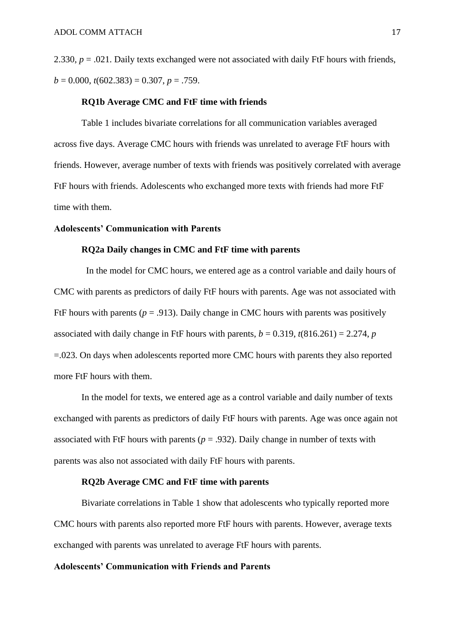2.330,  $p = .021$ . Daily texts exchanged were not associated with daily FtF hours with friends,  $b = 0.000$ ,  $t(602.383) = 0.307$ ,  $p = .759$ .

## **RQ1b Average CMC and FtF time with friends**

Table 1 includes bivariate correlations for all communication variables averaged across five days. Average CMC hours with friends was unrelated to average FtF hours with friends. However, average number of texts with friends was positively correlated with average FtF hours with friends. Adolescents who exchanged more texts with friends had more FtF time with them.

## **Adolescents' Communication with Parents**

#### **RQ2a Daily changes in CMC and FtF time with parents**

In the model for CMC hours, we entered age as a control variable and daily hours of CMC with parents as predictors of daily FtF hours with parents. Age was not associated with FtF hours with parents ( $p = .913$ ). Daily change in CMC hours with parents was positively associated with daily change in FtF hours with parents,  $b = 0.319$ ,  $t(816.261) = 2.274$ , *p* =.023. On days when adolescents reported more CMC hours with parents they also reported more FtF hours with them.

In the model for texts, we entered age as a control variable and daily number of texts exchanged with parents as predictors of daily FtF hours with parents. Age was once again not associated with FtF hours with parents ( $p = .932$ ). Daily change in number of texts with parents was also not associated with daily FtF hours with parents.

## **RQ2b Average CMC and FtF time with parents**

Bivariate correlations in Table 1 show that adolescents who typically reported more CMC hours with parents also reported more FtF hours with parents. However, average texts exchanged with parents was unrelated to average FtF hours with parents.

## **Adolescents' Communication with Friends and Parents**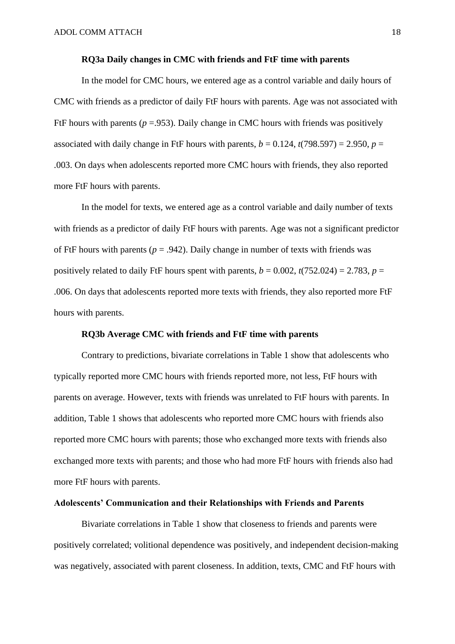#### **RQ3a Daily changes in CMC with friends and FtF time with parents**

In the model for CMC hours, we entered age as a control variable and daily hours of CMC with friends as a predictor of daily FtF hours with parents. Age was not associated with FtF hours with parents ( $p = 0.953$ ). Daily change in CMC hours with friends was positively associated with daily change in FtF hours with parents,  $b = 0.124$ ,  $t(798.597) = 2.950$ ,  $p =$ .003. On days when adolescents reported more CMC hours with friends, they also reported more FtF hours with parents.

In the model for texts, we entered age as a control variable and daily number of texts with friends as a predictor of daily FtF hours with parents. Age was not a significant predictor of FtF hours with parents ( $p = .942$ ). Daily change in number of texts with friends was positively related to daily FtF hours spent with parents,  $b = 0.002$ ,  $t(752.024) = 2.783$ ,  $p =$ .006. On days that adolescents reported more texts with friends, they also reported more FtF hours with parents.

## **RQ3b Average CMC with friends and FtF time with parents**

Contrary to predictions, bivariate correlations in Table 1 show that adolescents who typically reported more CMC hours with friends reported more, not less, FtF hours with parents on average. However, texts with friends was unrelated to FtF hours with parents. In addition, Table 1 shows that adolescents who reported more CMC hours with friends also reported more CMC hours with parents; those who exchanged more texts with friends also exchanged more texts with parents; and those who had more FtF hours with friends also had more FtF hours with parents.

## **Adolescents' Communication and their Relationships with Friends and Parents**

Bivariate correlations in Table 1 show that closeness to friends and parents were positively correlated; volitional dependence was positively, and independent decision-making was negatively, associated with parent closeness. In addition, texts, CMC and FtF hours with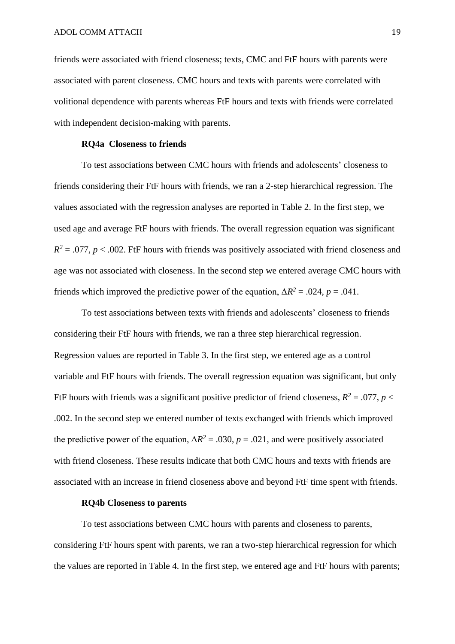friends were associated with friend closeness; texts, CMC and FtF hours with parents were associated with parent closeness. CMC hours and texts with parents were correlated with volitional dependence with parents whereas FtF hours and texts with friends were correlated with independent decision-making with parents.

#### **RQ4a Closeness to friends**

To test associations between CMC hours with friends and adolescents' closeness to friends considering their FtF hours with friends, we ran a 2-step hierarchical regression. The values associated with the regression analyses are reported in Table 2. In the first step, we used age and average FtF hours with friends. The overall regression equation was significant  $R^2 = 0.077$ ,  $p < 0.002$ . FtF hours with friends was positively associated with friend closeness and age was not associated with closeness. In the second step we entered average CMC hours with friends which improved the predictive power of the equation,  $\Delta R^2 = .024$ ,  $p = .041$ .

To test associations between texts with friends and adolescents' closeness to friends considering their FtF hours with friends, we ran a three step hierarchical regression. Regression values are reported in Table 3. In the first step, we entered age as a control variable and FtF hours with friends. The overall regression equation was significant, but only FtF hours with friends was a significant positive predictor of friend closeness,  $R^2 = .077$ ,  $p <$ .002. In the second step we entered number of texts exchanged with friends which improved the predictive power of the equation,  $\Delta R^2 = .030$ ,  $p = .021$ , and were positively associated with friend closeness. These results indicate that both CMC hours and texts with friends are associated with an increase in friend closeness above and beyond FtF time spent with friends.

#### **RQ4b Closeness to parents**

To test associations between CMC hours with parents and closeness to parents, considering FtF hours spent with parents, we ran a two-step hierarchical regression for which the values are reported in Table 4. In the first step, we entered age and FtF hours with parents;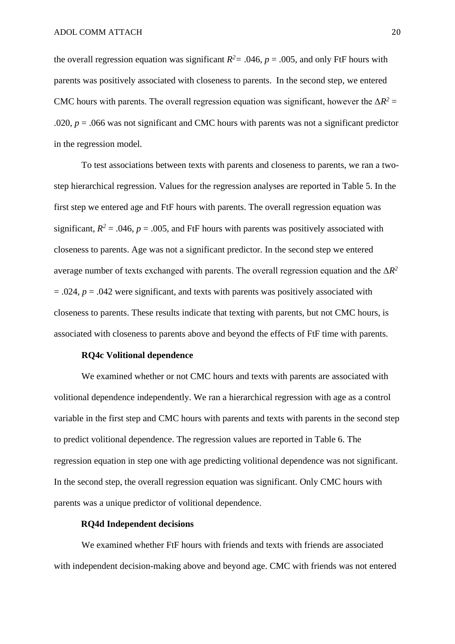the overall regression equation was significant  $R^2 = .046$ ,  $p = .005$ , and only FtF hours with parents was positively associated with closeness to parents. In the second step, we entered CMC hours with parents. The overall regression equation was significant, however the  $\Delta R^2 =$ .020,  $p = 0.066$  was not significant and CMC hours with parents was not a significant predictor in the regression model.

To test associations between texts with parents and closeness to parents, we ran a twostep hierarchical regression. Values for the regression analyses are reported in Table 5. In the first step we entered age and FtF hours with parents. The overall regression equation was significant,  $R^2 = .046$ ,  $p = .005$ , and FtF hours with parents was positively associated with closeness to parents. Age was not a significant predictor. In the second step we entered average number of texts exchanged with parents. The overall regression equation and the  $\Delta R^2$  $= .024$ ,  $p = .042$  were significant, and texts with parents was positively associated with closeness to parents. These results indicate that texting with parents, but not CMC hours, is associated with closeness to parents above and beyond the effects of FtF time with parents.

## **RQ4c Volitional dependence**

We examined whether or not CMC hours and texts with parents are associated with volitional dependence independently. We ran a hierarchical regression with age as a control variable in the first step and CMC hours with parents and texts with parents in the second step to predict volitional dependence. The regression values are reported in Table 6. The regression equation in step one with age predicting volitional dependence was not significant. In the second step, the overall regression equation was significant. Only CMC hours with parents was a unique predictor of volitional dependence.

## **RQ4d Independent decisions**

We examined whether FtF hours with friends and texts with friends are associated with independent decision-making above and beyond age. CMC with friends was not entered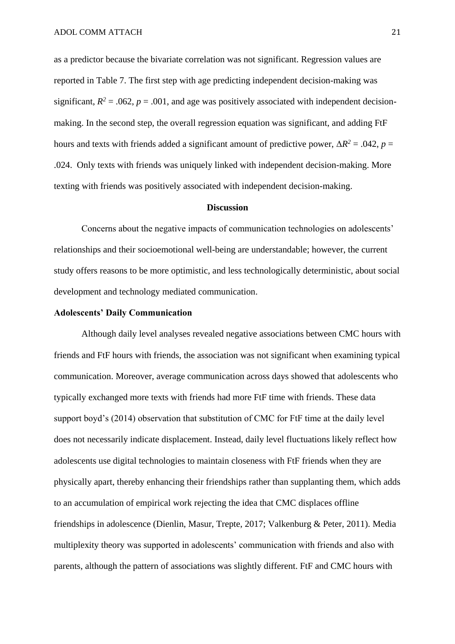as a predictor because the bivariate correlation was not significant. Regression values are reported in Table 7. The first step with age predicting independent decision-making was significant,  $R^2 = .062$ ,  $p = .001$ , and age was positively associated with independent decisionmaking. In the second step, the overall regression equation was significant, and adding FtF hours and texts with friends added a significant amount of predictive power,  $\Delta R^2 = .042$ ,  $p =$ .024. Only texts with friends was uniquely linked with independent decision-making. More texting with friends was positively associated with independent decision-making.

### **Discussion**

Concerns about the negative impacts of communication technologies on adolescents' relationships and their socioemotional well-being are understandable; however, the current study offers reasons to be more optimistic, and less technologically deterministic, about social development and technology mediated communication.

#### **Adolescents' Daily Communication**

Although daily level analyses revealed negative associations between CMC hours with friends and FtF hours with friends, the association was not significant when examining typical communication. Moreover, average communication across days showed that adolescents who typically exchanged more texts with friends had more FtF time with friends. These data support boyd's (2014) observation that substitution of CMC for FtF time at the daily level does not necessarily indicate displacement. Instead, daily level fluctuations likely reflect how adolescents use digital technologies to maintain closeness with FtF friends when they are physically apart, thereby enhancing their friendships rather than supplanting them, which adds to an accumulation of empirical work rejecting the idea that CMC displaces offline friendships in adolescence (Dienlin, Masur, Trepte, 2017; Valkenburg & Peter, 2011). Media multiplexity theory was supported in adolescents' communication with friends and also with parents, although the pattern of associations was slightly different. FtF and CMC hours with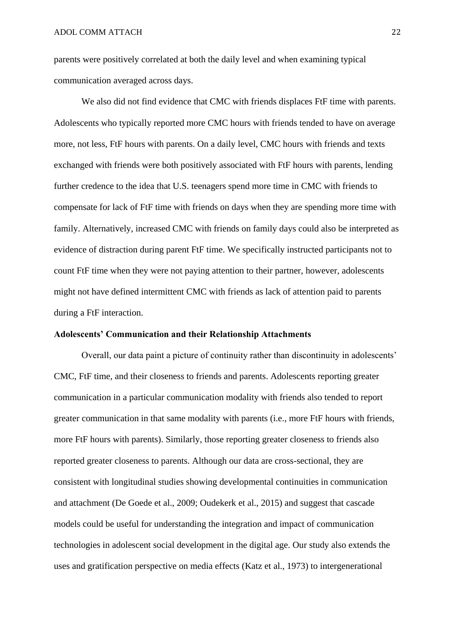parents were positively correlated at both the daily level and when examining typical communication averaged across days.

We also did not find evidence that CMC with friends displaces FtF time with parents. Adolescents who typically reported more CMC hours with friends tended to have on average more, not less, FtF hours with parents. On a daily level, CMC hours with friends and texts exchanged with friends were both positively associated with FtF hours with parents, lending further credence to the idea that U.S. teenagers spend more time in CMC with friends to compensate for lack of FtF time with friends on days when they are spending more time with family. Alternatively, increased CMC with friends on family days could also be interpreted as evidence of distraction during parent FtF time. We specifically instructed participants not to count FtF time when they were not paying attention to their partner, however, adolescents might not have defined intermittent CMC with friends as lack of attention paid to parents during a FtF interaction.

## **Adolescents' Communication and their Relationship Attachments**

Overall, our data paint a picture of continuity rather than discontinuity in adolescents' CMC, FtF time, and their closeness to friends and parents. Adolescents reporting greater communication in a particular communication modality with friends also tended to report greater communication in that same modality with parents (i.e., more FtF hours with friends, more FtF hours with parents). Similarly, those reporting greater closeness to friends also reported greater closeness to parents. Although our data are cross-sectional, they are consistent with longitudinal studies showing developmental continuities in communication and attachment (De Goede et al., 2009; Oudekerk et al., 2015) and suggest that cascade models could be useful for understanding the integration and impact of communication technologies in adolescent social development in the digital age. Our study also extends the uses and gratification perspective on media effects (Katz et al., 1973) to intergenerational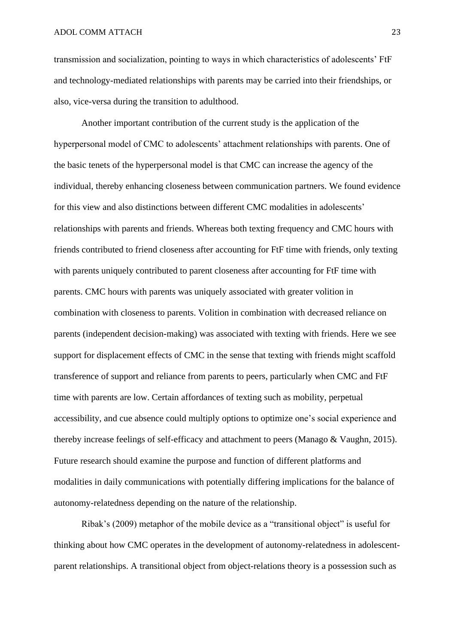transmission and socialization, pointing to ways in which characteristics of adolescents' FtF and technology-mediated relationships with parents may be carried into their friendships, or also, vice-versa during the transition to adulthood.

Another important contribution of the current study is the application of the hyperpersonal model of CMC to adolescents' attachment relationships with parents. One of the basic tenets of the hyperpersonal model is that CMC can increase the agency of the individual, thereby enhancing closeness between communication partners. We found evidence for this view and also distinctions between different CMC modalities in adolescents' relationships with parents and friends. Whereas both texting frequency and CMC hours with friends contributed to friend closeness after accounting for FtF time with friends, only texting with parents uniquely contributed to parent closeness after accounting for FtF time with parents. CMC hours with parents was uniquely associated with greater volition in combination with closeness to parents. Volition in combination with decreased reliance on parents (independent decision-making) was associated with texting with friends. Here we see support for displacement effects of CMC in the sense that texting with friends might scaffold transference of support and reliance from parents to peers, particularly when CMC and FtF time with parents are low. Certain affordances of texting such as mobility, perpetual accessibility, and cue absence could multiply options to optimize one's social experience and thereby increase feelings of self-efficacy and attachment to peers (Manago & Vaughn, 2015). Future research should examine the purpose and function of different platforms and modalities in daily communications with potentially differing implications for the balance of autonomy-relatedness depending on the nature of the relationship.

Ribak's (2009) metaphor of the mobile device as a "transitional object" is useful for thinking about how CMC operates in the development of autonomy-relatedness in adolescentparent relationships. A transitional object from object-relations theory is a possession such as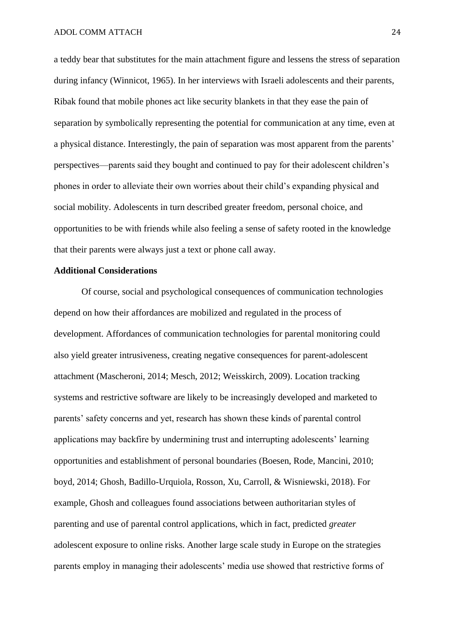a teddy bear that substitutes for the main attachment figure and lessens the stress of separation during infancy (Winnicot, 1965). In her interviews with Israeli adolescents and their parents, Ribak found that mobile phones act like security blankets in that they ease the pain of separation by symbolically representing the potential for communication at any time, even at a physical distance. Interestingly, the pain of separation was most apparent from the parents' perspectives—parents said they bought and continued to pay for their adolescent children's phones in order to alleviate their own worries about their child's expanding physical and social mobility. Adolescents in turn described greater freedom, personal choice, and opportunities to be with friends while also feeling a sense of safety rooted in the knowledge that their parents were always just a text or phone call away.

#### **Additional Considerations**

Of course, social and psychological consequences of communication technologies depend on how their affordances are mobilized and regulated in the process of development. Affordances of communication technologies for parental monitoring could also yield greater intrusiveness, creating negative consequences for parent-adolescent attachment (Mascheroni, 2014; Mesch, 2012; Weisskirch, 2009). Location tracking systems and restrictive software are likely to be increasingly developed and marketed to parents' safety concerns and yet, research has shown these kinds of parental control applications may backfire by undermining trust and interrupting adolescents' learning opportunities and establishment of personal boundaries (Boesen, Rode, Mancini, 2010; boyd, 2014; Ghosh, Badillo-Urquiola, Rosson, Xu, Carroll, & Wisniewski, 2018). For example, Ghosh and colleagues found associations between authoritarian styles of parenting and use of parental control applications, which in fact, predicted *greater*  adolescent exposure to online risks. Another large scale study in Europe on the strategies parents employ in managing their adolescents' media use showed that restrictive forms of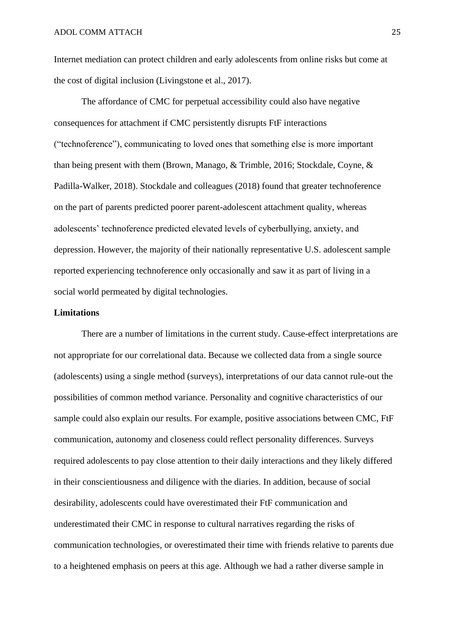Internet mediation can protect children and early adolescents from online risks but come at the cost of digital inclusion (Livingstone et al., 2017).

The affordance of CMC for perpetual accessibility could also have negative consequences for attachment if CMC persistently disrupts FtF interactions ("technoference"), communicating to loved ones that something else is more important than being present with them (Brown, Manago, & Trimble, 2016; Stockdale, Coyne, & Padilla-Walker, 2018). Stockdale and colleagues (2018) found that greater technoference on the part of parents predicted poorer parent-adolescent attachment quality, whereas adolescents' technoference predicted elevated levels of cyberbullying, anxiety, and depression. However, the majority of their nationally representative U.S. adolescent sample reported experiencing technoference only occasionally and saw it as part of living in a social world permeated by digital technologies.

## **Limitations**

There are a number of limitations in the current study. Cause-effect interpretations are not appropriate for our correlational data. Because we collected data from a single source (adolescents) using a single method (surveys), interpretations of our data cannot rule-out the possibilities of common method variance. Personality and cognitive characteristics of our sample could also explain our results. For example, positive associations between CMC, FtF communication, autonomy and closeness could reflect personality differences. Surveys required adolescents to pay close attention to their daily interactions and they likely differed in their conscientiousness and diligence with the diaries. In addition, because of social desirability, adolescents could have overestimated their FtF communication and underestimated their CMC in response to cultural narratives regarding the risks of communication technologies, or overestimated their time with friends relative to parents due to a heightened emphasis on peers at this age. Although we had a rather diverse sample in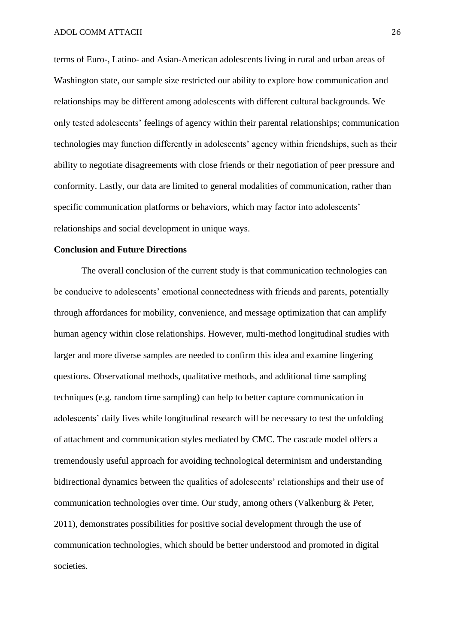terms of Euro-, Latino- and Asian-American adolescents living in rural and urban areas of Washington state, our sample size restricted our ability to explore how communication and relationships may be different among adolescents with different cultural backgrounds. We only tested adolescents' feelings of agency within their parental relationships; communication technologies may function differently in adolescents' agency within friendships, such as their ability to negotiate disagreements with close friends or their negotiation of peer pressure and conformity. Lastly, our data are limited to general modalities of communication, rather than specific communication platforms or behaviors, which may factor into adolescents' relationships and social development in unique ways.

## **Conclusion and Future Directions**

The overall conclusion of the current study is that communication technologies can be conducive to adolescents' emotional connectedness with friends and parents, potentially through affordances for mobility, convenience, and message optimization that can amplify human agency within close relationships. However, multi-method longitudinal studies with larger and more diverse samples are needed to confirm this idea and examine lingering questions. Observational methods, qualitative methods, and additional time sampling techniques (e.g. random time sampling) can help to better capture communication in adolescents' daily lives while longitudinal research will be necessary to test the unfolding of attachment and communication styles mediated by CMC. The cascade model offers a tremendously useful approach for avoiding technological determinism and understanding bidirectional dynamics between the qualities of adolescents' relationships and their use of communication technologies over time. Our study, among others (Valkenburg & Peter, 2011), demonstrates possibilities for positive social development through the use of communication technologies, which should be better understood and promoted in digital societies.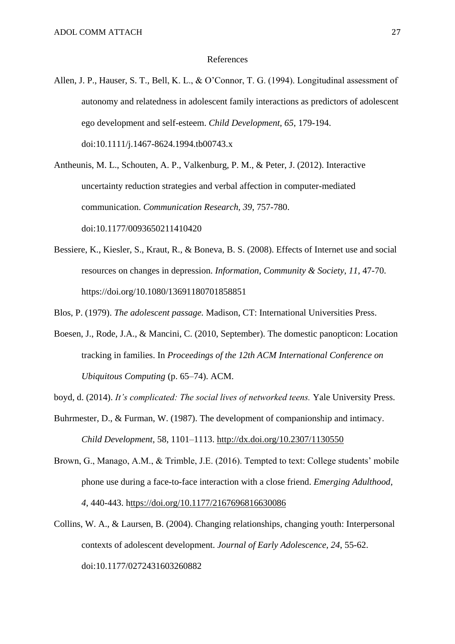#### References

Allen, J. P., Hauser, S. T., Bell, K. L., & O'Connor, T. G. (1994). Longitudinal assessment of autonomy and relatedness in adolescent family interactions as predictors of adolescent ego development and self-esteem. *Child Development, 65*, 179-194. doi:10.1111/j.1467-8624.1994.tb00743.x

Antheunis, M. L., Schouten, A. P., Valkenburg, P. M., & Peter, J. (2012). Interactive uncertainty reduction strategies and verbal affection in computer-mediated communication. *Communication Research, 39*, 757-780. doi:10.1177/0093650211410420

Bessiere, K., Kiesler, S., Kraut, R., & Boneva, B. S. (2008). Effects of Internet use and social resources on changes in depression. *Information, Community & Society*, *11*, 47-70. <https://doi.org/10.1080/13691180701858851>

Blos, P. (1979). *The adolescent passage.* Madison, CT: International Universities Press.

Boesen, J., Rode, J.A., & Mancini, C. (2010, September). The domestic panopticon: Location tracking in families. In *Proceedings of the 12th ACM International Conference on Ubiquitous Computing* (p. 65–74). ACM.

boyd, d. (2014). *It's complicated: The social lives of networked teens.* Yale University Press.

- Buhrmester, D., & Furman, W. (1987). The development of companionship and intimacy. *Child Development*, 58, 1101–1113. [http://dx.doi.org/10.2307/1130550](http://psycnet.apa.org/doi/10.2307/1130550)
- Brown, G., Manago, A.M., & Trimble, J.E. (2016). Tempted to text: College students' mobile phone use during a face-to-face interaction with a close friend. *Emerging Adulthood*, *4*, 440-443. [https://doi.org/10.1177/2167696816630086](https://doi.org/10.1177%2F2167696816630086)
- Collins, W. A., & Laursen, B. (2004). Changing relationships, changing youth: Interpersonal contexts of adolescent development. *Journal of Early Adolescence, 24*, 55-62. doi:10.1177/0272431603260882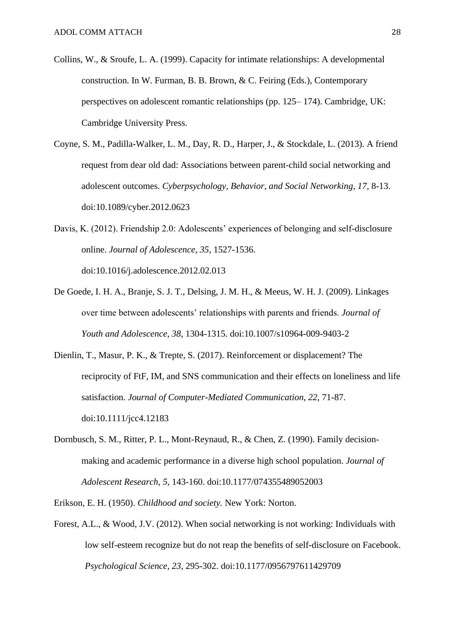- Collins, W., & Sroufe, L. A. (1999). Capacity for intimate relationships: A developmental construction. In W. Furman, B. B. Brown, & C. Feiring (Eds.), Contemporary perspectives on adolescent romantic relationships (pp. 125– 174). Cambridge, UK: Cambridge University Press.
- Coyne, S. M., Padilla-Walker, L. M., Day, R. D., Harper, J., & Stockdale, L. (2013). A friend request from dear old dad: Associations between parent-child social networking and adolescent outcomes. *Cyberpsychology, Behavior, and Social Networking, 17*, 8-13. doi:10.1089/cyber.2012.0623
- Davis, K. (2012). Friendship 2.0: Adolescents' experiences of belonging and self-disclosure online. *Journal of Adolescence, 35*, 1527-1536. doi:10.1016/j.adolescence.2012.02.013
- De Goede, I. H. A., Branje, S. J. T., Delsing, J. M. H., & Meeus, W. H. J. (2009). Linkages over time between adolescents' relationships with parents and friends. *Journal of Youth and Adolescence*, *38*, 1304-1315. doi:10.1007/s10964-009-9403-2
- Dienlin, T., Masur, P. K., & Trepte, S. (2017). Reinforcement or displacement? The reciprocity of FtF, IM, and SNS communication and their effects on loneliness and life satisfaction. *Journal of Computer-Mediated Communication, 22*, 71-87. doi:10.1111/jcc4.12183
- Dornbusch, S. M., Ritter, P. L., Mont-Reynaud, R., & Chen, Z. (1990). Family decisionmaking and academic performance in a diverse high school population. *Journal of Adolescent Research, 5*, 143-160. doi:10.1177/074355489052003

Erikson, E. H. (1950). *Childhood and society.* New York: Norton.

Forest, A.L., & Wood, J.V. (2012). When social networking is not working: Individuals with low self-esteem recognize but do not reap the benefits of self-disclosure on Facebook. *Psychological Science*, *23*, 295-302. doi:10.1177/0956797611429709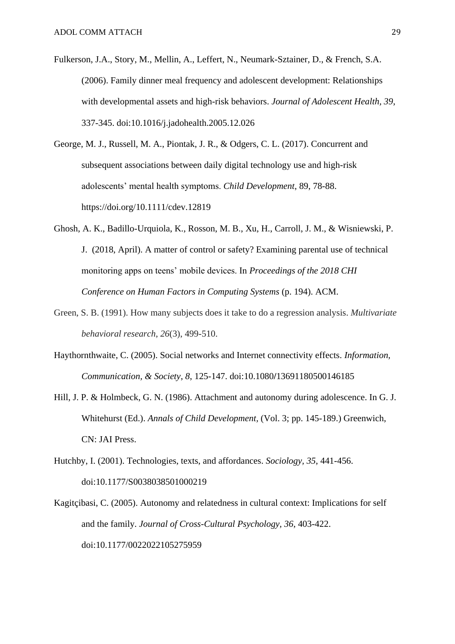- Fulkerson, J.A., Story, M., Mellin, A., Leffert, N., Neumark-Sztainer, D., & French, S.A. (2006). Family dinner meal frequency and adolescent development: Relationships with developmental assets and high-risk behaviors. *Journal of Adolescent Health, 39*, 337-345. doi:10.1016/j.jadohealth.2005.12.026
- George, M. J., Russell, M. A., Piontak, J. R., & Odgers, C. L. (2017). Concurrent and subsequent associations between daily digital technology use and high-risk adolescents' mental health symptoms. *Child Development*, 89, 78-88. <https://doi.org/10.1111/cdev.12819>
- Ghosh, A. K., Badillo-Urquiola, K., Rosson, M. B., Xu, H., Carroll, J. M., & Wisniewski, P. J. (2018, April). A matter of control or safety? Examining parental use of technical monitoring apps on teens' mobile devices. In *Proceedings of the 2018 CHI Conference on Human Factors in Computing Systems* (p. 194). ACM.
- Green, S. B. (1991). How many subjects does it take to do a regression analysis. *Multivariate behavioral research*, *26*(3), 499-510.
- Haythornthwaite, C. (2005). Social networks and Internet connectivity effects. *Information, Communication, & Society*, *8*, 125-147. doi:10.1080**/**13691180500146185
- Hill, J. P. & Holmbeck, G. N. (1986). Attachment and autonomy during adolescence. In G. J. Whitehurst (Ed.). *Annals of Child Development,* (Vol. 3; pp. 145-189.) Greenwich, CN: JAI Press.
- Hutchby, I. (2001). Technologies, texts, and affordances. *Sociology, 35*, 441-456. doi:10.1177/S0038038501000219
- Kagitçibasi, C. (2005). Autonomy and relatedness in cultural context: Implications for self and the family. *Journal of Cross-Cultural Psychology, 36*, 403-422. doi:10.1177/0022022105275959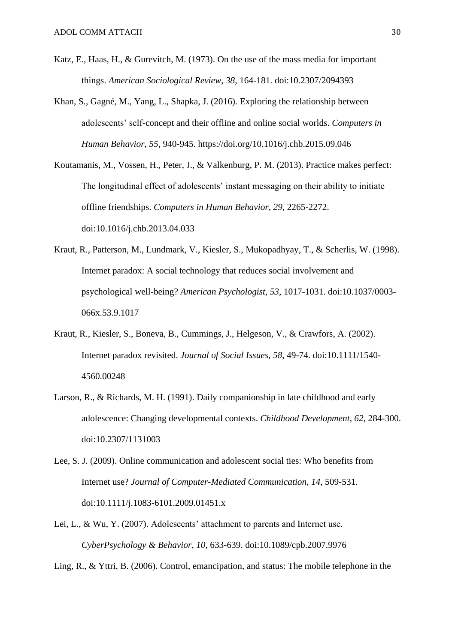- Katz, E., Haas, H., & Gurevitch, M. (1973). On the use of the mass media for important things. *American Sociological Review*, *38*, 164-181. doi:10.2307/2094393
- Khan, S., Gagné, M., Yang, L., Shapka, J. (2016). Exploring the relationship between adolescents' self-concept and their offline and online social worlds. *Computers in Human Behavior, 55*, 940-945.<https://doi.org/10.1016/j.chb.2015.09.046>
- Koutamanis, M., Vossen, H., Peter, J., & Valkenburg, P. M. (2013). Practice makes perfect: The longitudinal effect of adolescents' instant messaging on their ability to initiate offline friendships. *Computers in Human Behavior, 29*, 2265-2272. doi:10.1016/j.chb.2013.04.033
- Kraut, R., Patterson, M., Lundmark, V., Kiesler, S., Mukopadhyay, T., & Scherlis, W. (1998). Internet paradox: A social technology that reduces social involvement and psychological well-being? *American Psychologist, 53*, 1017-1031. doi:10.1037/0003- 066x.53.9.1017
- Kraut, R., Kiesler, S., Boneva, B., Cummings, J., Helgeson, V., & Crawfors, A. (2002). Internet paradox revisited. *Journal of Social Issues, 58*, 49-74. doi:10.1111/1540- 4560.00248
- Larson, R., & Richards, M. H. (1991). Daily companionship in late childhood and early adolescence: Changing developmental contexts. *Childhood Development, 62*, 284-300. doi:10.2307/1131003
- Lee, S. J. (2009). Online communication and adolescent social ties: Who benefits from Internet use? *Journal of Computer-Mediated Communication, 14*, 509-531. doi:10.1111/j.1083-6101.2009.01451.x
- Lei, L., & Wu, Y. (2007). Adolescents' attachment to parents and Internet use. *CyberPsychology & Behavior, 10*, 633-639. doi:10.1089/cpb.2007.9976

Ling, R., & Yttri, B. (2006). Control, emancipation, and status: The mobile telephone in the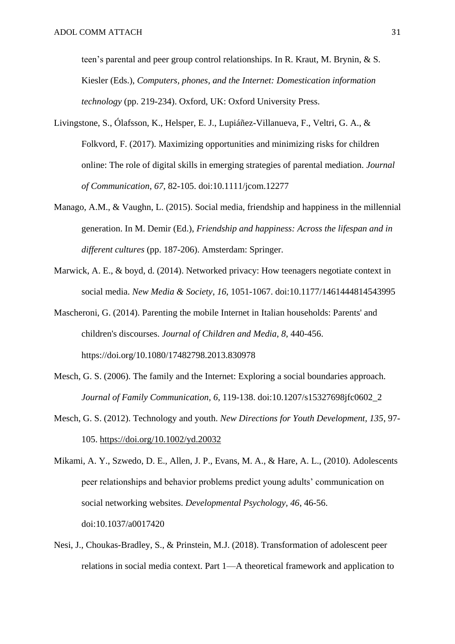teen's parental and peer group control relationships. In R. Kraut, M. Brynin, & S. Kiesler (Eds.), *Computers, phones, and the Internet: Domestication information technology* (pp. 219-234). Oxford, UK: Oxford University Press.

- Livingstone, S., Ólafsson, K., Helsper, E. J., Lupiáñez-Villanueva, F., Veltri, G. A., & Folkvord, F. (2017). Maximizing opportunities and minimizing risks for children online: The role of digital skills in emerging strategies of parental mediation. *Journal of Communication*, *67*, 82-105. doi:10.1111/jcom.12277
- Manago, A.M., & Vaughn, L. (2015). Social media, friendship and happiness in the millennial generation. In M. Demir (Ed.), *Friendship and happiness: Across the lifespan and in different cultures* (pp. 187-206). Amsterdam: Springer.
- Marwick, A. E., & boyd, d. (2014). Networked privacy: How teenagers negotiate context in social media. *New Media & Society*, *16*, 1051-1067. doi:10.1177/1461444814543995
- Mascheroni, G. (2014). Parenting the mobile Internet in Italian households: Parents' and children's discourses. *Journal of Children and Media*, *8*, 440-456. <https://doi.org/10.1080/17482798.2013.830978>
- Mesch, G. S. (2006). The family and the Internet: Exploring a social boundaries approach. *Journal of Family Communication, 6*, 119-138. doi:10.1207/s15327698jfc0602\_2
- Mesch, G. S. (2012). Technology and youth. *New Directions for Youth Development, 135*, 97- 105.<https://doi.org/10.1002/yd.20032>

Mikami, A. Y., Szwedo, D. E., Allen, J. P., Evans, M. A., & Hare, A. L., (2010). Adolescents peer relationships and behavior problems predict young adults' communication on social networking websites. *Developmental Psychology, 46*, 46-56. doi:10.1037/a0017420

Nesi, J., Choukas-Bradley, S., & Prinstein, M.J. (2018). Transformation of adolescent peer relations in social media context. Part 1—A theoretical framework and application to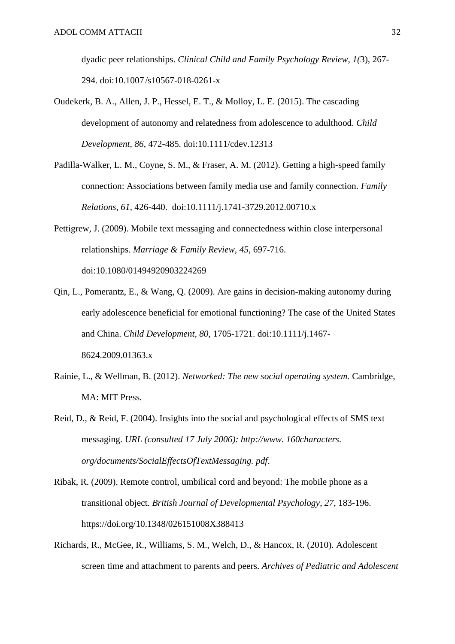dyadic peer relationships. *Clinical Child and Family Psychology Review*, *1(*3), 267- 294. doi:10.1007 /s10567-018-0261-x

- Oudekerk, B. A., Allen, J. P., Hessel, E. T., & Molloy, L. E. (2015). The cascading development of autonomy and relatedness from adolescence to adulthood. *Child Development, 86*, 472-485. doi:10.1111/cdev.12313
- Padilla-Walker, L. M., Coyne, S. M., & Fraser, A. M. (2012). Getting a high-speed family connection: Associations between family media use and family connection. *Family Relations, 61*, 426-440. doi:10.1111/j.1741-3729.2012.00710.x
- Pettigrew, J. (2009). Mobile text messaging and connectedness within close interpersonal relationships. *Marriage & Family Review, 45*, 697-716. doi:10.1080/01494920903224269
- Qin, L., Pomerantz, E., & Wang, Q. (2009). Are gains in decision-making autonomy during early adolescence beneficial for emotional functioning? The case of the United States and China. *Child Development, 80*, 1705-1721. doi:10.1111/j.1467- 8624.2009.01363.x
- Rainie, L., & Wellman, B. (2012). *Networked: The new social operating system.* Cambridge, MA: MIT Press.
- Reid, D., & Reid, F. (2004). Insights into the social and psychological effects of SMS text messaging. *URL (consulted 17 July 2006): http://www. 160characters. org/documents/SocialEffectsOfTextMessaging. pdf*.
- Ribak, R. (2009). Remote control, umbilical cord and beyond: The mobile phone as a transitional object. *British Journal of Developmental Psychology*, *27*, 183-196. <https://doi.org/10.1348/026151008X388413>
- Richards, R., McGee, R., Williams, S. M., Welch, D., & Hancox, R. (2010). Adolescent screen time and attachment to parents and peers. *Archives of Pediatric and Adolescent*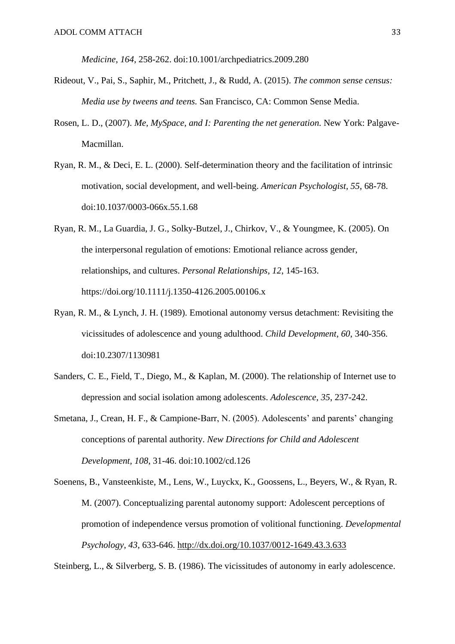*Medicine, 164*, 258-262. doi:10.1001/archpediatrics.2009.280

- Rideout, V., Pai, S., Saphir, M., Pritchett, J., & Rudd, A. (2015). *The common sense census: Media use by tweens and teens.* San Francisco, CA: Common Sense Media.
- Rosen, L. D., (2007). *Me, MySpace, and I: Parenting the net generation.* New York: Palgave-Macmillan.
- Ryan, R. M., & Deci, E. L. (2000). Self-determination theory and the facilitation of intrinsic motivation, social development, and well-being. *American Psychologist, 55*, 68-78. doi:10.1037/0003-066x.55.1.68
- Ryan, R. M., La Guardia, J. G., Solky-Butzel, J., Chirkov, V., & Youngmee, K. (2005). On the interpersonal regulation of emotions: Emotional reliance across gender, relationships, and cultures. *Personal Relationships, 12*, 145-163. <https://doi.org/10.1111/j.1350-4126.2005.00106.x>
- Ryan, R. M., & Lynch, J. H. (1989). Emotional autonomy versus detachment: Revisiting the vicissitudes of adolescence and young adulthood. *Child Development, 60*, 340-356. doi:10.2307/1130981
- Sanders, C. E., Field, T., Diego, M., & Kaplan, M. (2000). The relationship of Internet use to depression and social isolation among adolescents. *Adolescence, 35*, 237-242.
- Smetana, J., Crean, H. F., & Campione-Barr, N. (2005). Adolescents' and parents' changing conceptions of parental authority. *New Directions for Child and Adolescent Development, 108*, 31-46. doi:10.1002/cd.126
- Soenens, B., Vansteenkiste, M., Lens, W., Luyckx, K., Goossens, L., Beyers, W., & Ryan, R. M. (2007). Conceptualizing parental autonomy support: Adolescent perceptions of promotion of independence versus promotion of volitional functioning. *Developmental Psychology, 43*, 633-646. [http://dx.doi.org/10.1037/0012-1649.43.3.633](http://psycnet.apa.org/doi/10.1037/0012-1649.43.3.633)

Steinberg, L., & Silverberg, S. B. (1986). The vicissitudes of autonomy in early adolescence.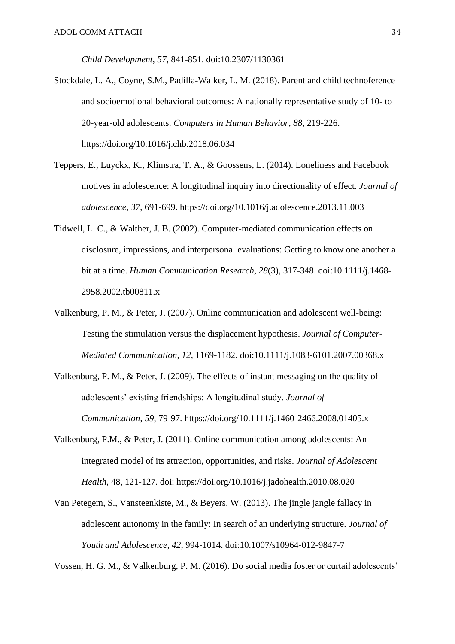*Child Development, 57*, 841-851. doi:10.2307/1130361

- Stockdale, L. A., Coyne, S.M., Padilla-Walker, L. M. (2018). Parent and child technoference and socioemotional behavioral outcomes: A nationally representative study of 10- to 20-year-old adolescents. *Computers in Human Behavior*, *88*, 219-226. https://doi.org/10.1016/j.chb.2018.06.034
- Teppers, E., Luyckx, K., Klimstra, T. A., & Goossens, L. (2014). Loneliness and Facebook motives in adolescence: A longitudinal inquiry into directionality of effect. *Journal of adolescence*, *37*, 691-699. <https://doi.org/10.1016/j.adolescence.2013.11.003>
- Tidwell, L. C., & Walther, J. B. (2002). Computer-mediated communication effects on disclosure, impressions, and interpersonal evaluations: Getting to know one another a bit at a time. *Human Communication Research, 28*(3), 317-348. doi:10.1111/j.1468- 2958.2002.tb00811.x
- Valkenburg, P. M., & Peter, J. (2007). Online communication and adolescent well-being: Testing the stimulation versus the displacement hypothesis. *Journal of Computer-Mediated Communication, 12*, 1169-1182. doi:10.1111/j.1083-6101.2007.00368.x
- Valkenburg, P. M., & Peter, J. (2009). The effects of instant messaging on the quality of adolescents' existing friendships: A longitudinal study. *Journal of Communication*, *59*, 79-97. <https://doi.org/10.1111/j.1460-2466.2008.01405.x>
- Valkenburg, P.M., & Peter, J. (2011). Online communication among adolescents: An integrated model of its attraction, opportunities, and risks. *Journal of Adolescent Health*, 48, 121-127. doi: <https://doi.org/10.1016/j.jadohealth.2010.08.020>
- Van Petegem, S., Vansteenkiste, M., & Beyers, W. (2013). The jingle jangle fallacy in adolescent autonomy in the family: In search of an underlying structure. *Journal of Youth and Adolescence, 42*, 994-1014. doi:10.1007/s10964-012-9847-7

Vossen, H. G. M., & Valkenburg, P. M. (2016). Do social media foster or curtail adolescents'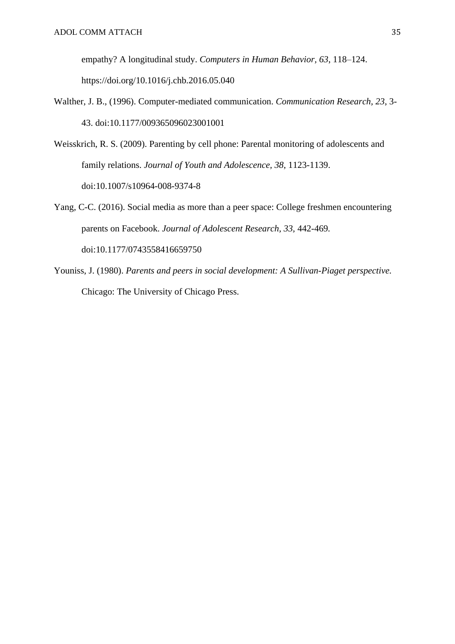empathy? A longitudinal study. *Computers in Human Behavior, 63*, 118–124. https://doi.org/10.1016/j.chb.2016.05.040

- Walther, J. B., (1996). Computer-mediated communication. *Communication Research, 23*, 3- 43. doi:10.1177/009365096023001001
- Weisskrich, R. S. (2009). Parenting by cell phone: Parental monitoring of adolescents and family relations. *Journal of Youth and Adolescence, 38*, 1123-1139. doi:10.1007/s10964-008-9374-8
- Yang, C-C. (2016). Social media as more than a peer space: College freshmen encountering parents on Facebook. *Journal of Adolescent Research, 33,* 442-469*.*  doi:10.1177/0743558416659750
- Youniss, J. (1980). *Parents and peers in social development: A Sullivan-Piaget perspective.* Chicago: The University of Chicago Press.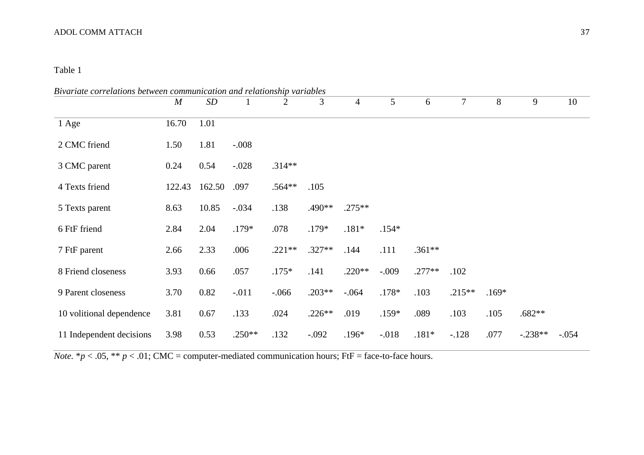# Table 1

| Bivariate correlations between communication and relationship variables |                  |        |              |          |          |                |          |          |          |         |           |         |
|-------------------------------------------------------------------------|------------------|--------|--------------|----------|----------|----------------|----------|----------|----------|---------|-----------|---------|
|                                                                         | $\boldsymbol{M}$ | SD     | $\mathbf{1}$ | 2        | 3        | $\overline{4}$ | 5        | 6        | $\tau$   | 8       | 9         | 10      |
| 1 Age                                                                   | 16.70            | 1.01   |              |          |          |                |          |          |          |         |           |         |
| 2 CMC friend                                                            | 1.50             | 1.81   | $-.008$      |          |          |                |          |          |          |         |           |         |
| 3 CMC parent                                                            | 0.24             | 0.54   | $-.028$      | $.314**$ |          |                |          |          |          |         |           |         |
| 4 Texts friend                                                          | 122.43           | 162.50 | .097         | $.564**$ | .105     |                |          |          |          |         |           |         |
| 5 Texts parent                                                          | 8.63             | 10.85  | $-.034$      | .138     | .490**   | $.275**$       |          |          |          |         |           |         |
| 6 FtF friend                                                            | 2.84             | 2.04   | $.179*$      | .078     | $.179*$  | $.181*$        | $.154*$  |          |          |         |           |         |
| 7 FtF parent                                                            | 2.66             | 2.33   | .006         | $.221**$ | $.327**$ | .144           | .111     | $.361**$ |          |         |           |         |
| 8 Friend closeness                                                      | 3.93             | 0.66   | .057         | $.175*$  | .141     | $.220**$       | $-.009$  | $.277**$ | .102     |         |           |         |
| 9 Parent closeness                                                      | 3.70             | 0.82   | $-.011$      | $-0.066$ | $.203**$ | $-.064$        | $.178*$  | .103     | $.215**$ | $.169*$ |           |         |
| 10 volitional dependence                                                | 3.81             | 0.67   | .133         | .024     | $.226**$ | .019           | $.159*$  | .089     | .103     | .105    | $.682**$  |         |
| 11 Independent decisions                                                | 3.98             | 0.53   | $.250**$     | .132     | $-.092$  | $.196*$        | $-0.018$ | $.181*$  | $-.128$  | .077    | $-.238**$ | $-.054$ |

*Note.*  $* p < .05$ ,  $** p < .01$ ; CMC = computer-mediated communication hours; FtF = face-to-face hours.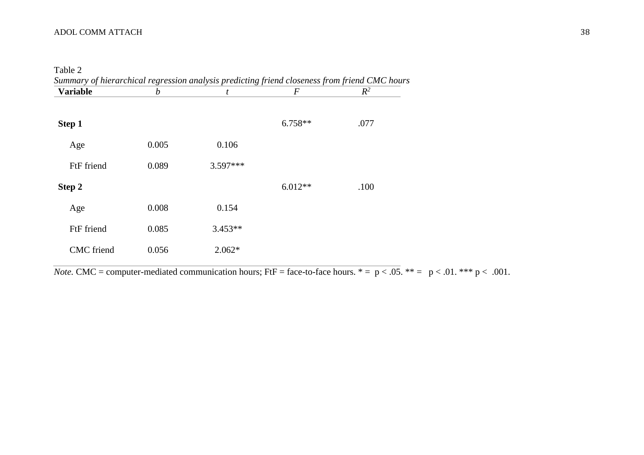Table 2

| <b>Variable</b>   | $\boldsymbol{b}$ | t          | F         | $R^2$ |
|-------------------|------------------|------------|-----------|-------|
| Step 1            |                  |            | $6.758**$ | .077  |
| Age               | 0.005            | 0.106      |           |       |
| FtF friend        | 0.089            | $3.597***$ |           |       |
| Step 2            |                  |            | $6.012**$ | .100  |
| Age               | 0.008            | 0.154      |           |       |
| FtF friend        | 0.085            | $3.453**$  |           |       |
| <b>CMC</b> friend | 0.056            | $2.062*$   |           |       |
|                   |                  |            |           |       |

*Note.* CMC = computer-mediated communication hours; FtF = face-to-face hours. \* = p < .05. \*\* = p < .01. \*\*\* p < .001.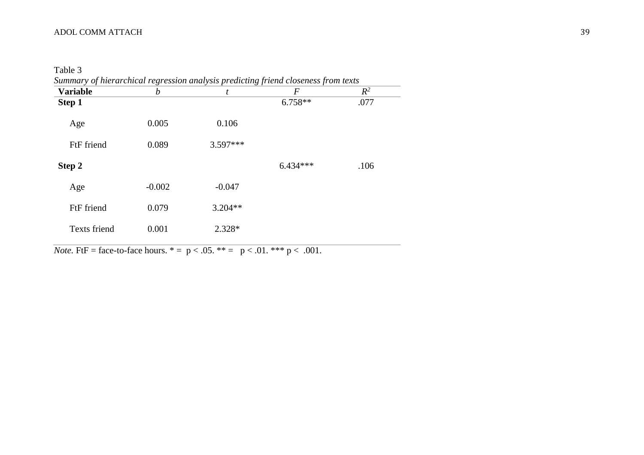Table 3

| <b>Variable</b> | b        | t          | F          | $R^2$ |
|-----------------|----------|------------|------------|-------|
| Step 1          |          |            | $6.758**$  | .077  |
| Age             | 0.005    | 0.106      |            |       |
| FtF friend      | 0.089    | $3.597***$ |            |       |
| Step 2          |          |            | $6.434***$ | .106  |
| Age             | $-0.002$ | $-0.047$   |            |       |
| FtF friend      | 0.079    | $3.204**$  |            |       |
| Texts friend    | 0.001    | 2.328*     |            |       |

*Note.* FtF = face-to-face hours.  $* = p < .05$ .  $** = p < .01$ .  $*** p < .001$ .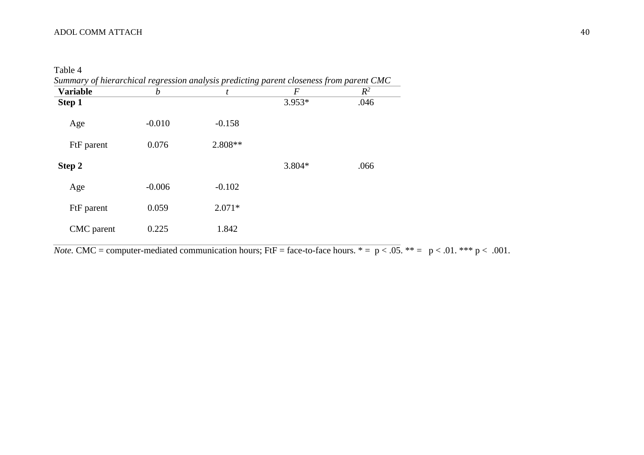Table 4

| Summary of hierarchical regression analysis predicting parent closeness from parent CMC |  |  |  |  |  |
|-----------------------------------------------------------------------------------------|--|--|--|--|--|
| Variahle                                                                                |  |  |  |  |  |

| <b>Variable</b> | $\boldsymbol{b}$ | t         | $\boldsymbol{F}$ | $R^2$ |  |
|-----------------|------------------|-----------|------------------|-------|--|
| Step 1          |                  |           | $3.953*$         | .046  |  |
| Age             | $-0.010$         | $-0.158$  |                  |       |  |
| FtF parent      | 0.076            | $2.808**$ |                  |       |  |
| Step 2          |                  |           | 3.804*           | .066  |  |
| Age             | $-0.006$         | $-0.102$  |                  |       |  |
| FtF parent      | 0.059            | $2.071*$  |                  |       |  |
| CMC parent      | 0.225            | 1.842     |                  |       |  |
|                 |                  |           |                  |       |  |

*Note.* CMC = computer-mediated communication hours; FtF = face-to-face hours. \* = p < .05. \*\* = p < .01. \*\*\* p < .001.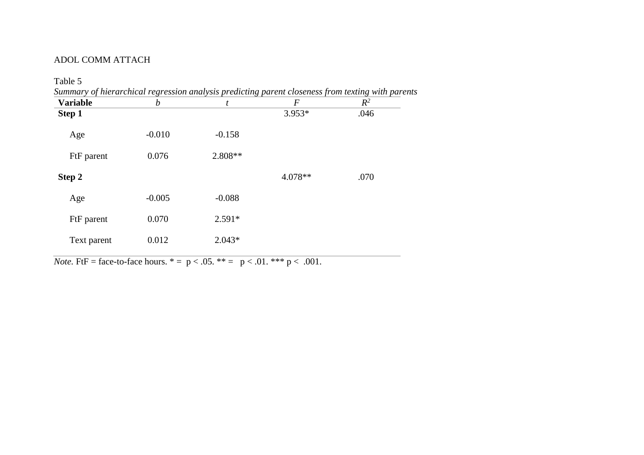| <b>Variable</b> | b        | t        | F        | $R^2$ |
|-----------------|----------|----------|----------|-------|
| Step 1          |          |          | $3.953*$ | .046  |
| Age             | $-0.010$ | $-0.158$ |          |       |
| FtF parent      | 0.076    | 2.808**  |          |       |
| Step 2          |          |          | 4.078**  | .070  |
| Age             | $-0.005$ | $-0.088$ |          |       |
| FtF parent      | 0.070    | $2.591*$ |          |       |
| Text parent     | 0.012    | $2.043*$ |          |       |
|                 |          |          |          |       |

*Note.* FtF = face-to-face hours. \* =  $p < .05$ . \*\* =  $p < .01$ . \*\*\*  $p < .001$ .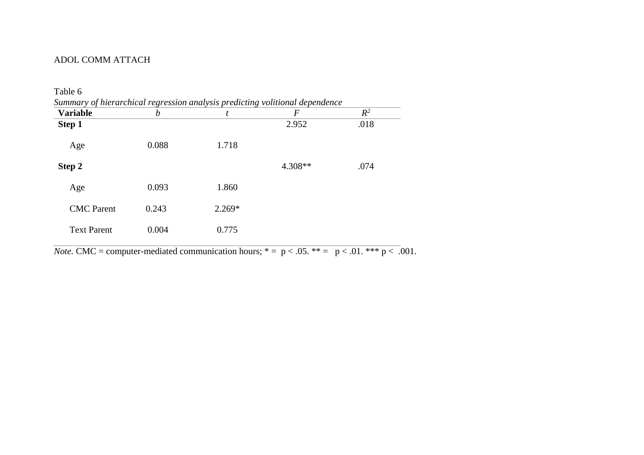| <b>Variable</b>    | b     | t        | F         | $R^2$ |
|--------------------|-------|----------|-----------|-------|
| Step 1             |       |          | 2.952     | .018  |
| Age                | 0.088 | 1.718    |           |       |
| Step 2             |       |          | $4.308**$ | .074  |
| Age                | 0.093 | 1.860    |           |       |
| <b>CMC</b> Parent  | 0.243 | $2.269*$ |           |       |
| <b>Text Parent</b> | 0.004 | 0.775    |           |       |
|                    |       |          |           |       |

*Note.* CMC = computer-mediated communication hours; \* = p < .05. \*\* = p < .01. \*\*\* p < .001.